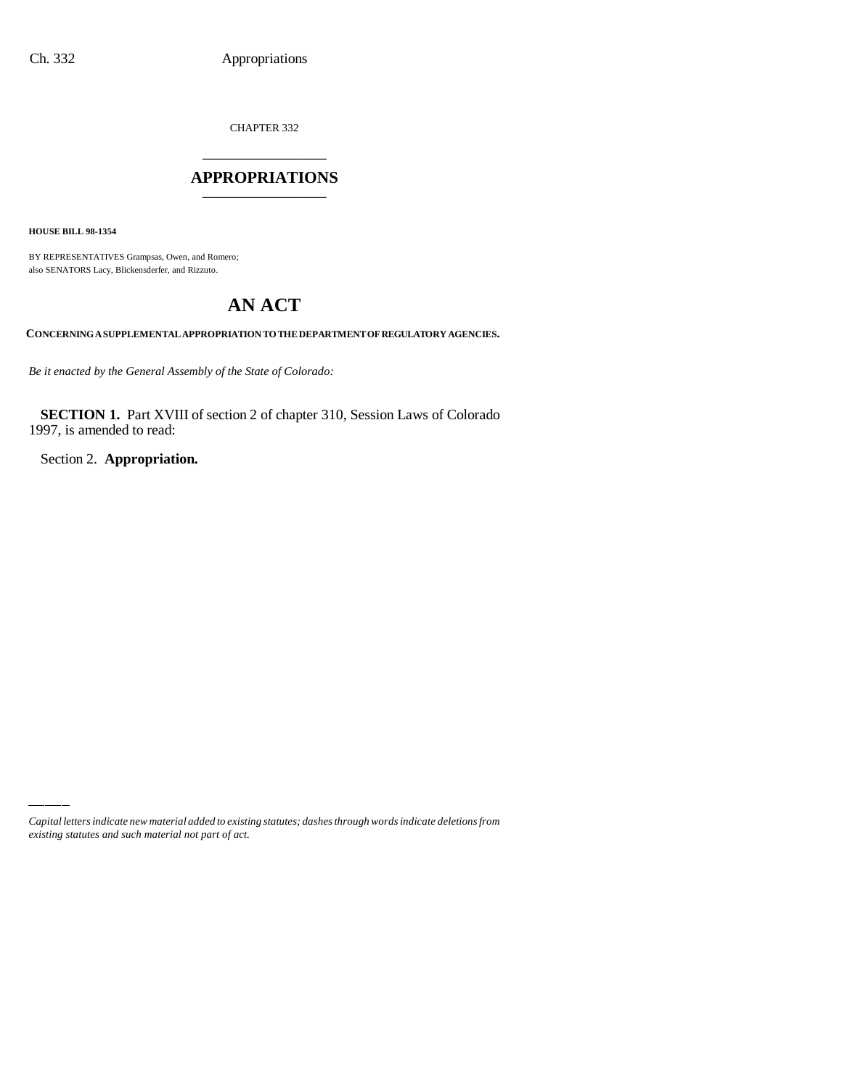CHAPTER 332 \_\_\_\_\_\_\_\_\_\_\_\_\_\_\_

## **APPROPRIATIONS** \_\_\_\_\_\_\_\_\_\_\_\_\_\_\_

**HOUSE BILL 98-1354**

BY REPRESENTATIVES Grampsas, Owen, and Romero; also SENATORS Lacy, Blickensderfer, and Rizzuto.

# **AN ACT**

**CONCERNING A SUPPLEMENTAL APPROPRIATION TO THE DEPARTMENT OF REGULATORY AGENCIES.**

*Be it enacted by the General Assembly of the State of Colorado:*

**SECTION 1.** Part XVIII of section 2 of chapter 310, Session Laws of Colorado 1997, is amended to read:

Section 2. **Appropriation.**

*Capital letters indicate new material added to existing statutes; dashes through words indicate deletions from existing statutes and such material not part of act.*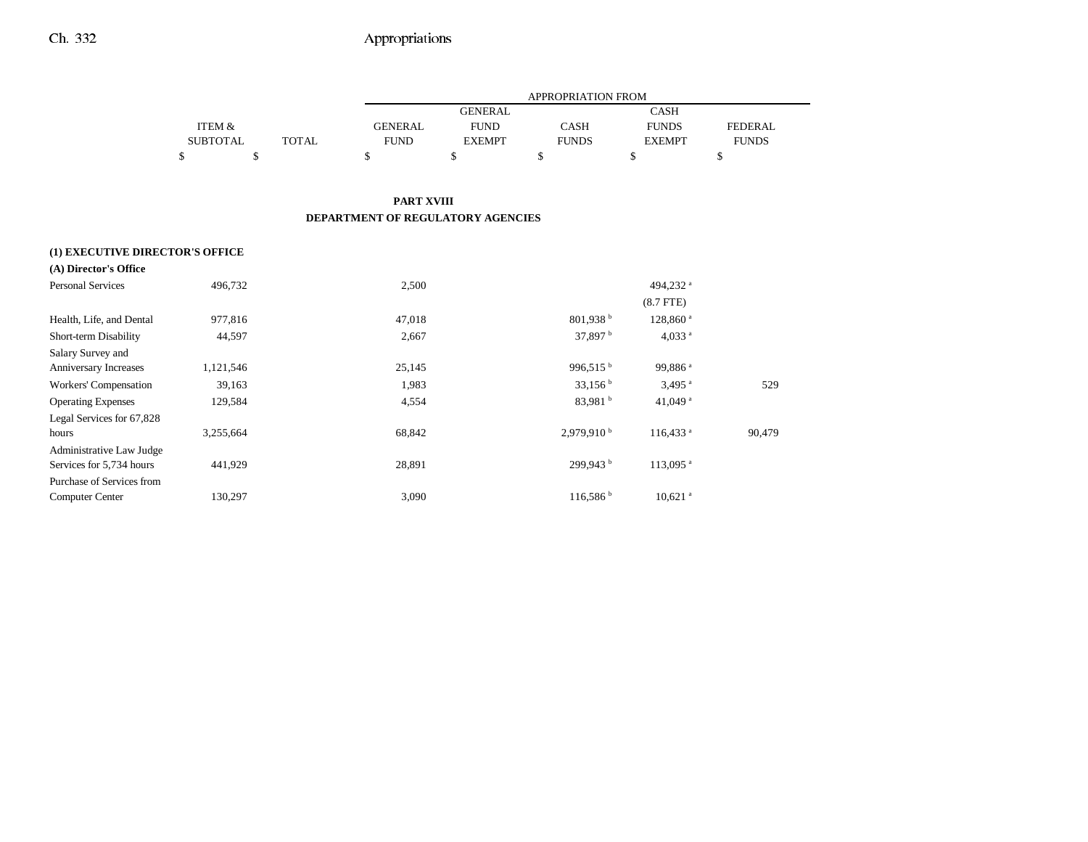|                 |       |                | <b>APPROPRIATION FROM</b> |              |               |                |  |
|-----------------|-------|----------------|---------------------------|--------------|---------------|----------------|--|
|                 |       |                | <b>GENERAL</b>            |              | <b>CASH</b>   |                |  |
| ITEM &          |       | <b>GENERAL</b> | <b>FUND</b>               | <b>CASH</b>  | <b>FUNDS</b>  | <b>FEDERAL</b> |  |
| <b>SUBTOTAL</b> | TOTAL | <b>FUND</b>    | <b>EXEMPT</b>             | <b>FUNDS</b> | <b>EXEMPT</b> | <b>FUNDS</b>   |  |
|                 |       |                |                           |              |               |                |  |

#### **PART XVIII DEPARTMENT OF REGULATORY AGENCIES**

| (1) EXECUTIVE DIRECTOR'S OFFICE<br>(A) Director's Office |           |        |                        |                        |        |
|----------------------------------------------------------|-----------|--------|------------------------|------------------------|--------|
| <b>Personal Services</b>                                 | 496,732   | 2,500  |                        | 494,232 <sup>a</sup>   |        |
|                                                          |           |        |                        | $(8.7$ FTE)            |        |
| Health, Life, and Dental                                 | 977,816   | 47,018 | $801,938$ <sup>b</sup> | 128,860 <sup>a</sup>   |        |
| Short-term Disability                                    | 44,597    | 2,667  | 37,897 $^{\rm b}$      | 4,033 $a$              |        |
| Salary Survey and                                        |           |        |                        |                        |        |
| <b>Anniversary Increases</b>                             | 1,121,546 | 25,145 | 996,515 $^{\rm b}$     | 99,886 <sup>a</sup>    |        |
| Workers' Compensation                                    | 39,163    | 1,983  | 33,156 <sup>b</sup>    | $3,495$ <sup>a</sup>   | 529    |
| <b>Operating Expenses</b>                                | 129,584   | 4,554  | 83,981 <sup>b</sup>    | 41,049 $a$             |        |
| Legal Services for 67,828                                |           |        |                        |                        |        |
| hours                                                    | 3,255,664 | 68,842 | 2,979,910 <sup>b</sup> | $116,433$ <sup>a</sup> | 90,479 |
| Administrative Law Judge                                 |           |        |                        |                        |        |
| Services for 5,734 hours                                 | 441,929   | 28,891 | 299,943 <sup>b</sup>   | 113,095 <sup>a</sup>   |        |
| Purchase of Services from                                |           |        |                        |                        |        |
| Computer Center                                          | 130,297   | 3,090  | 116,586 h              | $10,621$ <sup>a</sup>  |        |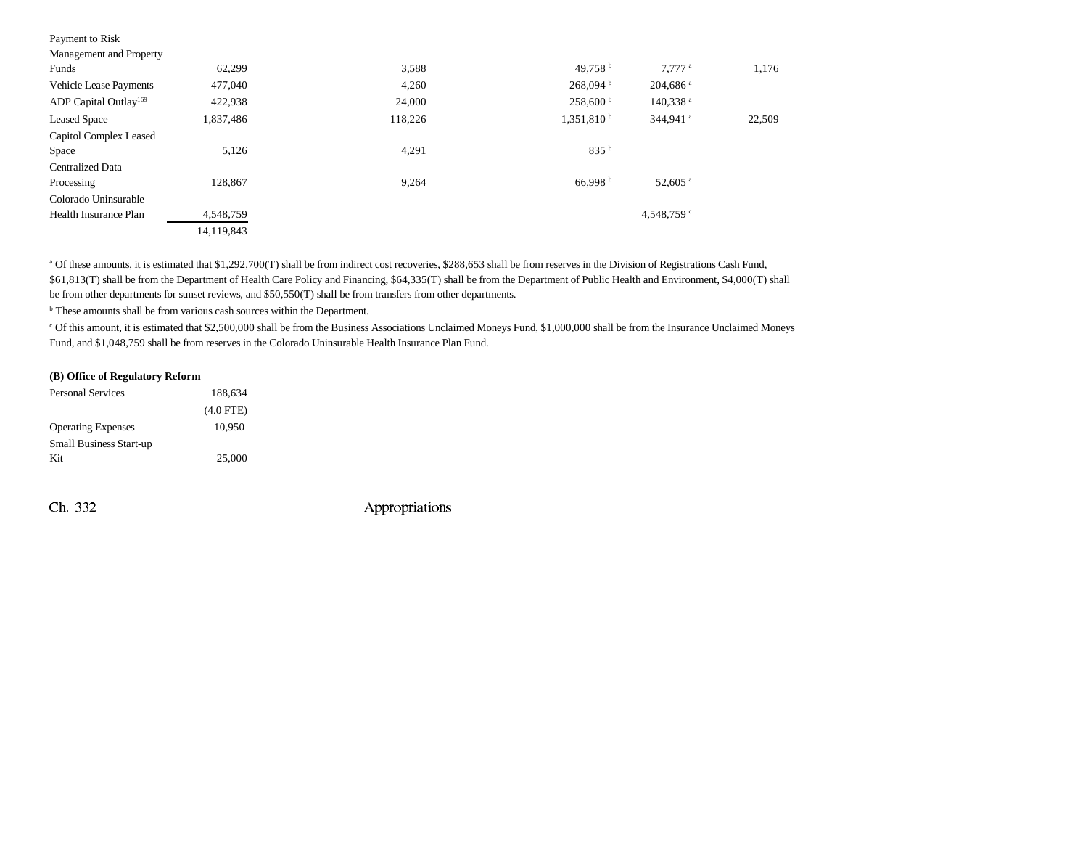| Payment to Risk                   |            |         |                        |                      |        |
|-----------------------------------|------------|---------|------------------------|----------------------|--------|
| Management and Property           |            |         |                        |                      |        |
| Funds                             | 62,299     | 3,588   | 49.758 $^{\rm b}$      | $7.777$ <sup>a</sup> | 1,176  |
| <b>Vehicle Lease Payments</b>     | 477,040    | 4,260   | $268,094$ <sup>b</sup> | 204,686 <sup>a</sup> |        |
| ADP Capital Outlay <sup>169</sup> | 422,938    | 24,000  | $258,600^{\mathrm{b}}$ | 140,338 <sup>a</sup> |        |
| <b>Leased Space</b>               | 1,837,486  | 118,226 | $1,351,810^{b}$        | 344,941 <sup>a</sup> | 22,509 |
| Capitol Complex Leased            |            |         |                        |                      |        |
| Space                             | 5,126      | 4,291   | 835 <sup>b</sup>       |                      |        |
| <b>Centralized Data</b>           |            |         |                        |                      |        |
| Processing                        | 128.867    | 9,264   | 66.998 <sup>b</sup>    | 52,605 <sup>a</sup>  |        |
| Colorado Uninsurable              |            |         |                        |                      |        |
| Health Insurance Plan             | 4,548,759  |         |                        | 4,548,759 $\degree$  |        |
|                                   | 14,119,843 |         |                        |                      |        |
|                                   |            |         |                        |                      |        |

<sup>a</sup> Of these amounts, it is estimated that \$1,292,700(T) shall be from indirect cost recoveries, \$288,653 shall be from reserves in the Division of Registrations Cash Fund, \$61,813(T) shall be from the Department of Health Care Policy and Financing, \$64,335(T) shall be from the Department of Public Health and Environment, \$4,000(T) shall be from other departments for sunset reviews, and \$50,550(T) shall be from transfers from other departments.

<sup>b</sup> These amounts shall be from various cash sources within the Department.

c Of this amount, it is estimated that \$2,500,000 shall be from the Business Associations Unclaimed Moneys Fund, \$1,000,000 shall be from the Insurance Unclaimed Moneys Fund, and \$1,048,759 shall be from reserves in the Colorado Uninsurable Health Insurance Plan Fund.

#### **(B) Office of Regulatory Reform**

| <b>Personal Services</b>       | 188,634     |
|--------------------------------|-------------|
|                                | $(4.0$ FTE) |
| <b>Operating Expenses</b>      | 10.950      |
| <b>Small Business Start-up</b> |             |
| Kit                            | 25,000      |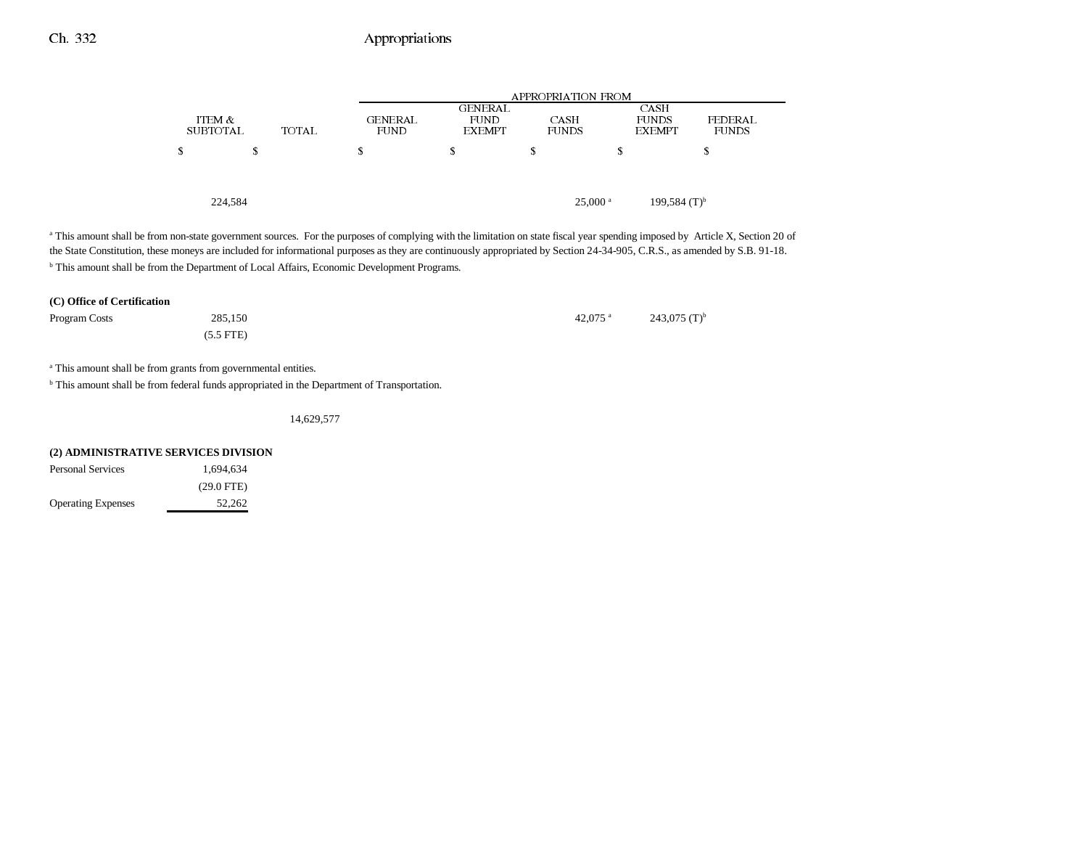|   |                           |       | APPROPRIATION FROM     |                                                |                       |                                       |                         |
|---|---------------------------|-------|------------------------|------------------------------------------------|-----------------------|---------------------------------------|-------------------------|
|   | ITEM &<br><b>SUBTOTAL</b> | TOTAL | GENERAL<br><b>FUND</b> | <b>GENERAL</b><br><b>FUND</b><br><b>EXEMPT</b> | CASH<br><b>FUNDS</b>  | CASH<br><b>FUNDS</b><br><b>EXEMPT</b> | FEDERAL<br><b>FUNDS</b> |
| S | S                         |       | S                      | S                                              | S                     | s                                     | S                       |
|   |                           |       |                        |                                                |                       |                                       |                         |
|   | 224,584                   |       |                        |                                                | $25,000$ <sup>a</sup> | $199,584$ (T) <sup>b</sup>            |                         |

<sup>a</sup> This amount shall be from non-state government sources. For the purposes of complying with the limitation on state fiscal year spending imposed by Article X, Section 20 of the State Constitution, these moneys are included for informational purposes as they are continuously appropriated by Section 24-34-905, C.R.S., as amended by S.B. 91-18. **b** This amount shall be from the Department of Local Affairs, Economic Development Programs.

| (C) Office of Certification |             |  |                       |                 |  |
|-----------------------------|-------------|--|-----------------------|-----------------|--|
| Program Costs               | 285,150     |  | $42.075$ <sup>a</sup> | 243,075 $(T)^b$ |  |
|                             | $(5.5$ FTE) |  |                       |                 |  |

<sup>a</sup> This amount shall be from grants from governmental entities.

<sup>b</sup> This amount shall be from federal funds appropriated in the Department of Transportation.

14,629,577

| (2) ADMINISTRATIVE SERVICES DIVISION |              |  |  |  |  |
|--------------------------------------|--------------|--|--|--|--|
| <b>Personal Services</b>             | 1.694.634    |  |  |  |  |
|                                      | $(29.0$ FTE) |  |  |  |  |
| <b>Operating Expenses</b>            | 52.262       |  |  |  |  |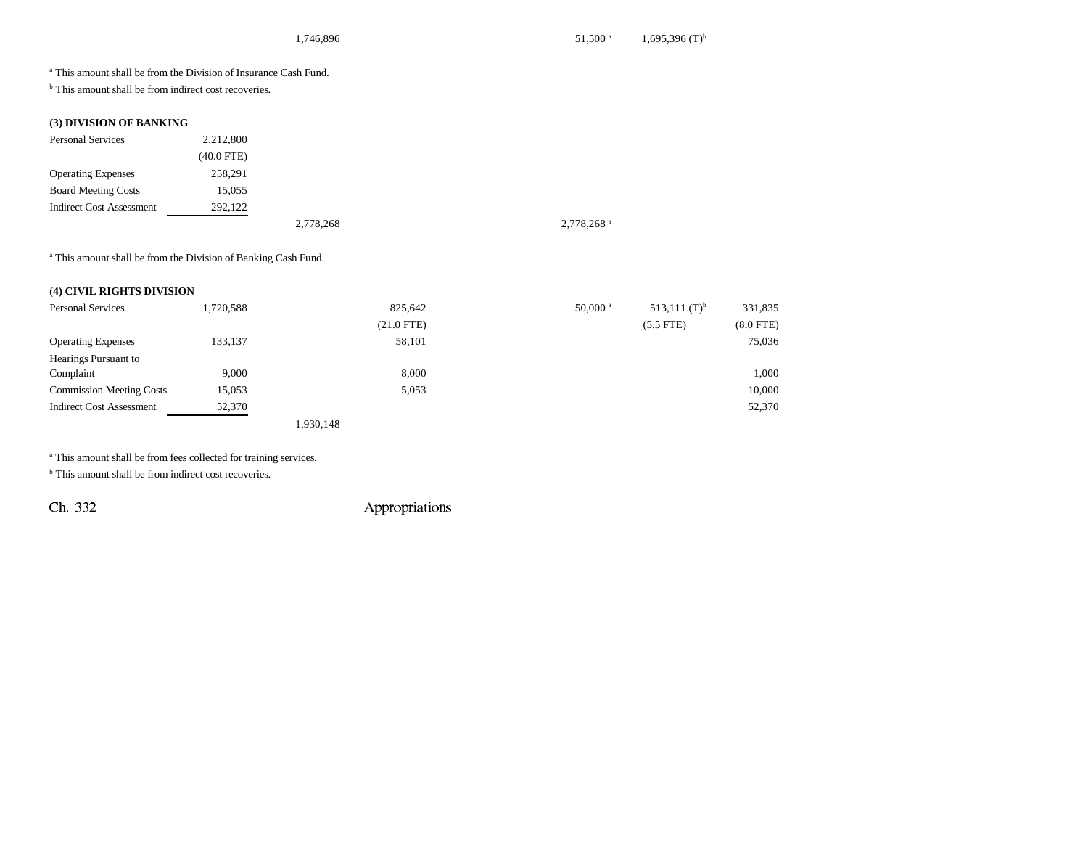a This amount shall be from the Division of Insurance Cash Fund.

<sup>b</sup> This amount shall be from indirect cost recoveries.

## **(3) DIVISION OF BANKING**

| <b>Personal Services</b>        | 2,212,800  |           |                        |
|---------------------------------|------------|-----------|------------------------|
|                                 | (40.0 FTE) |           |                        |
| <b>Operating Expenses</b>       | 258,291    |           |                        |
| <b>Board Meeting Costs</b>      | 15,055     |           |                        |
| <b>Indirect Cost Assessment</b> | 292,122    |           |                        |
|                                 |            | 2,778,268 | 2,778,268 <sup>a</sup> |

a This amount shall be from the Division of Banking Cash Fund.

## (**4) CIVIL RIGHTS DIVISION**

| <b>Personal Services</b>        | 1,720,588 | 825,642      | $50,000$ <sup>a</sup> | 513,111 $(T)^b$ | 331,835     |
|---------------------------------|-----------|--------------|-----------------------|-----------------|-------------|
|                                 |           | $(21.0$ FTE) |                       | $(5.5$ FTE)     | $(8.0$ FTE) |
| <b>Operating Expenses</b>       | 133,137   | 58,101       |                       |                 | 75,036      |
| Hearings Pursuant to            |           |              |                       |                 |             |
| Complaint                       | 9,000     | 8,000        |                       |                 | 1,000       |
| <b>Commission Meeting Costs</b> | 15,053    | 5,053        |                       |                 | 10,000      |
| <b>Indirect Cost Assessment</b> | 52,370    |              |                       |                 | 52,370      |
|                                 |           | 1,930,148    |                       |                 |             |

a This amount shall be from fees collected for training services.

<sup>b</sup> This amount shall be from indirect cost recoveries.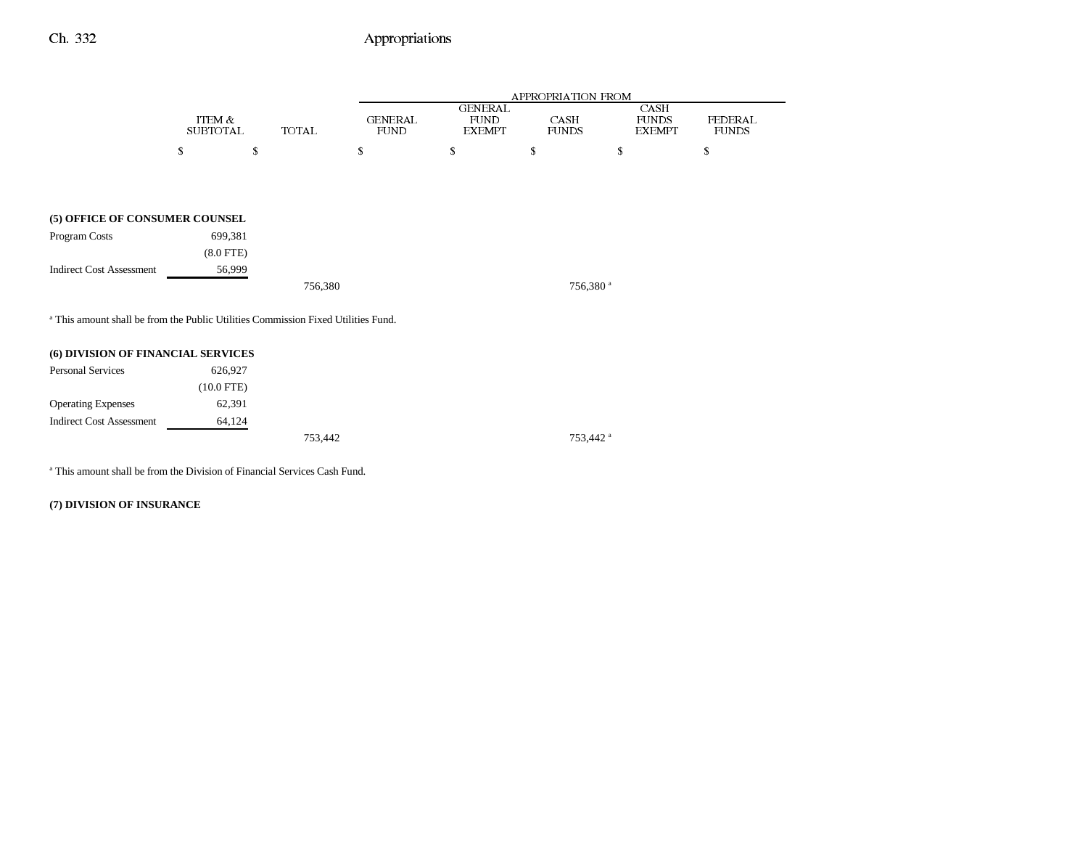|                                                                                              |                           |              |                               |                                                | APPROPRIATION FROM   |                                       |                         |
|----------------------------------------------------------------------------------------------|---------------------------|--------------|-------------------------------|------------------------------------------------|----------------------|---------------------------------------|-------------------------|
|                                                                                              | ITEM &<br><b>SUBTOTAL</b> | <b>TOTAL</b> | <b>GENERAL</b><br><b>FUND</b> | <b>GENERAL</b><br><b>FUND</b><br><b>EXEMPT</b> | CASH<br><b>FUNDS</b> | CASH<br><b>FUNDS</b><br><b>EXEMPT</b> | FEDERAL<br><b>FUNDS</b> |
|                                                                                              | S<br>\$                   |              | \$                            | S                                              | S                    | S                                     | S                       |
|                                                                                              |                           |              |                               |                                                |                      |                                       |                         |
|                                                                                              |                           |              |                               |                                                |                      |                                       |                         |
| (5) OFFICE OF CONSUMER COUNSEL                                                               |                           |              |                               |                                                |                      |                                       |                         |
| Program Costs                                                                                | 699,381                   |              |                               |                                                |                      |                                       |                         |
|                                                                                              | $(8.0$ FTE $)$            |              |                               |                                                |                      |                                       |                         |
| <b>Indirect Cost Assessment</b>                                                              | 56,999                    |              |                               |                                                |                      |                                       |                         |
|                                                                                              |                           | 756,380      |                               |                                                | 756,380 <sup>a</sup> |                                       |                         |
| <sup>a</sup> This amount shall be from the Public Utilities Commission Fixed Utilities Fund. |                           |              |                               |                                                |                      |                                       |                         |
| (6) DIVISION OF FINANCIAL SERVICES                                                           |                           |              |                               |                                                |                      |                                       |                         |
| <b>Personal Services</b>                                                                     | 626,927                   |              |                               |                                                |                      |                                       |                         |
|                                                                                              | $(10.0$ FTE)              |              |                               |                                                |                      |                                       |                         |
| <b>Operating Expenses</b>                                                                    | 62,391                    |              |                               |                                                |                      |                                       |                         |
| <b>Indirect Cost Assessment</b>                                                              | 64,124                    |              |                               |                                                |                      |                                       |                         |

753,442 753,442 a

a This amount shall be from the Division of Financial Services Cash Fund.

**(7) DIVISION OF INSURANCE**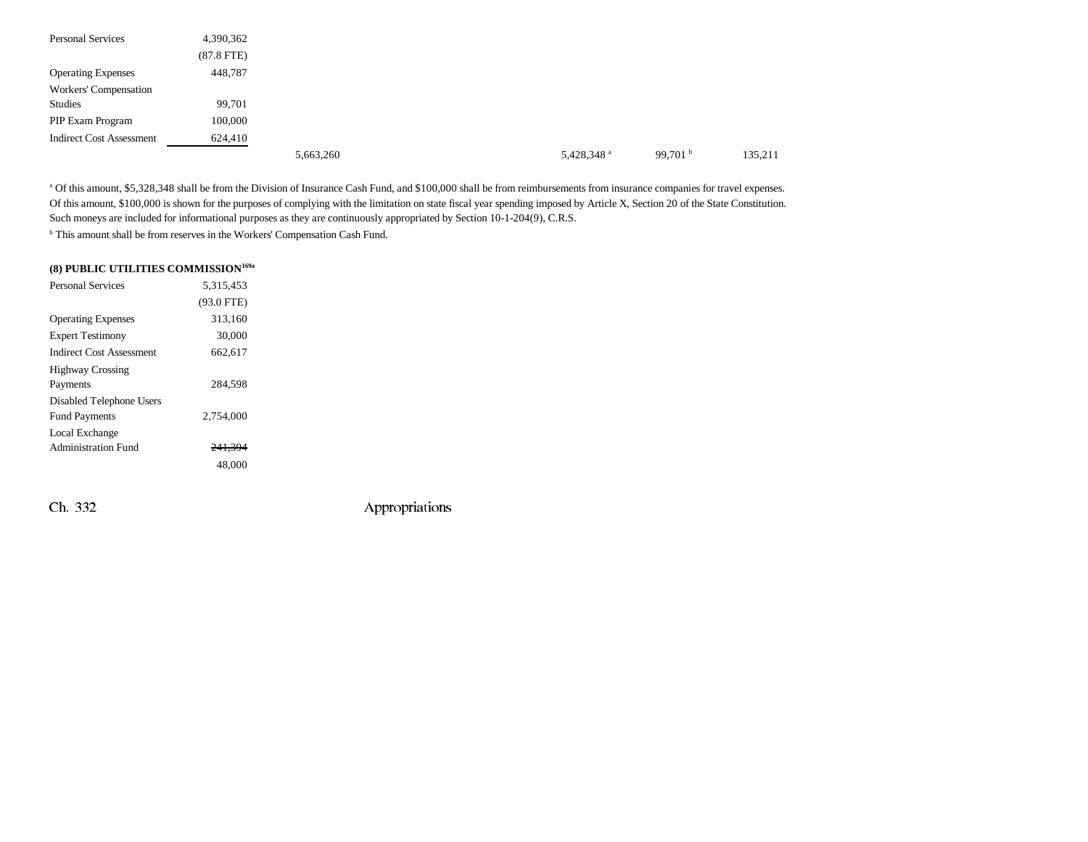| <b>Personal Services</b>        | 4,390,362    |           |  |                        |                   |         |
|---------------------------------|--------------|-----------|--|------------------------|-------------------|---------|
|                                 | $(87.8$ FTE) |           |  |                        |                   |         |
| <b>Operating Expenses</b>       | 448,787      |           |  |                        |                   |         |
| Workers' Compensation           |              |           |  |                        |                   |         |
| Studies                         | 99,701       |           |  |                        |                   |         |
| PIP Exam Program                | 100,000      |           |  |                        |                   |         |
| <b>Indirect Cost Assessment</b> | 624,410      |           |  |                        |                   |         |
|                                 |              | 5,663,260 |  | 5,428,348 <sup>a</sup> | 99,701 $^{\rm b}$ | 135,211 |

<sup>a</sup> Of this amount, \$5,328,348 shall be from the Division of Insurance Cash Fund, and \$100,000 shall be from reimbursements from insurance companies for travel expenses. Of this amount, \$100,000 is shown for the purposes of complying with the limitation on state fiscal year spending imposed by Article X, Section 20 of the State Constitution. Such moneys are included for informational purposes as they are continuously appropriated by Section 10-1-204(9), C.R.S.

<sup>b</sup> This amount shall be from reserves in the Workers' Compensation Cash Fund.

## **(8) PUBLIC UTILITIES COMMISSION169a**

| <b>Personal Services</b>        | 5,315,453          |  |
|---------------------------------|--------------------|--|
|                                 | $(93.0$ FTE)       |  |
| <b>Operating Expenses</b>       | 313,160            |  |
| <b>Expert Testimony</b>         | 30,000             |  |
| <b>Indirect Cost Assessment</b> | 662,617            |  |
| <b>Highway Crossing</b>         |                    |  |
| Payments                        | 284.598            |  |
| Disabled Telephone Users        |                    |  |
| <b>Fund Payments</b>            | 2.754,000          |  |
| Local Exchange                  |                    |  |
| <b>Administration Fund</b>      | <del>241.394</del> |  |
|                                 | 48,000             |  |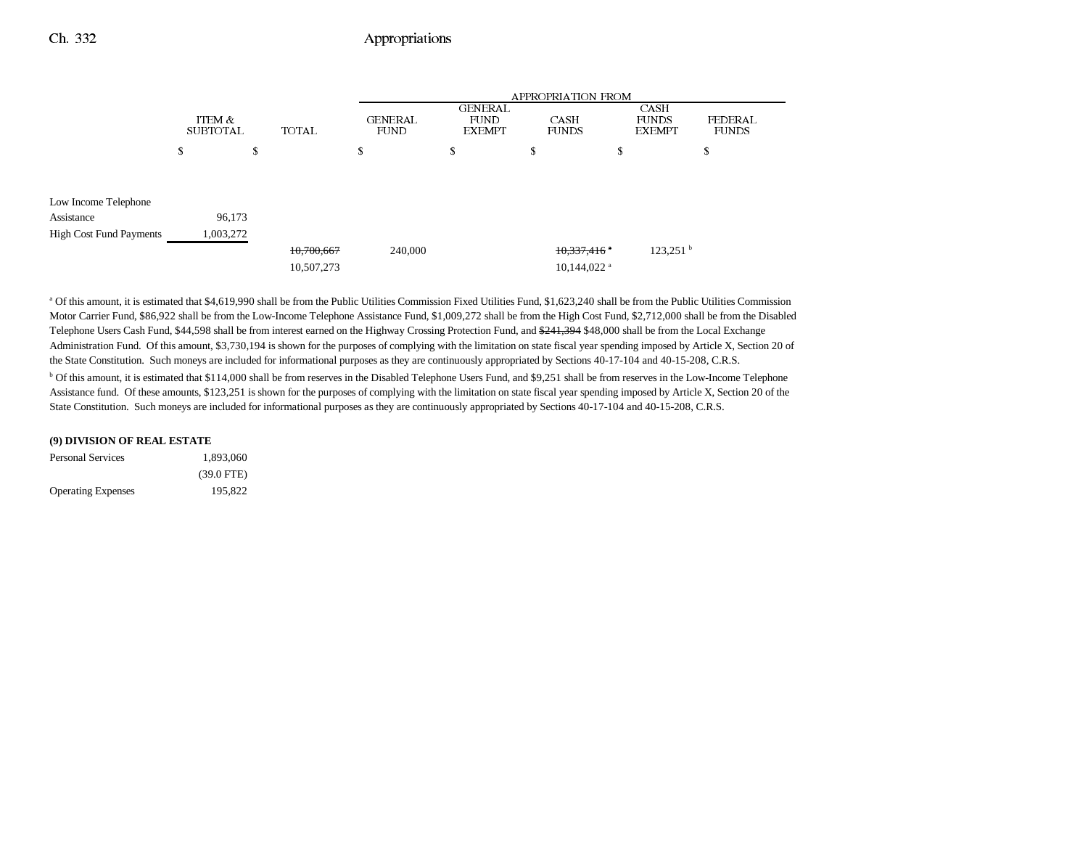|                                |                           |              | APPROPRIATION FROM            |                                                |                           |                                       |                         |  |
|--------------------------------|---------------------------|--------------|-------------------------------|------------------------------------------------|---------------------------|---------------------------------------|-------------------------|--|
|                                | ITEM &<br><b>SUBTOTAL</b> | <b>TOTAL</b> | <b>GENERAL</b><br><b>FUND</b> | <b>GENERAL</b><br><b>FUND</b><br><b>EXEMPT</b> | CASH<br><b>FUNDS</b>      | CASH<br><b>FUNDS</b><br><b>EXEMPT</b> | FEDERAL<br><b>FUNDS</b> |  |
|                                | S                         | S            | s                             | S                                              | S                         | ъ                                     | S                       |  |
| Low Income Telephone           |                           |              |                               |                                                |                           |                                       |                         |  |
| Assistance                     | 96,173                    |              |                               |                                                |                           |                                       |                         |  |
| <b>High Cost Fund Payments</b> | 1,003,272                 |              |                               |                                                |                           |                                       |                         |  |
|                                |                           | 10,700,667   | 240,000                       |                                                | 10,337,416                | $123,251$ <sup>b</sup>                |                         |  |
|                                |                           | 10,507,273   |                               |                                                | $10.144.022$ <sup>a</sup> |                                       |                         |  |

<sup>a</sup> Of this amount, it is estimated that \$4,619,990 shall be from the Public Utilities Commission Fixed Utilities Fund, \$1,623,240 shall be from the Public Utilities Commission Motor Carrier Fund, \$86,922 shall be from the Low-Income Telephone Assistance Fund, \$1,009,272 shall be from the High Cost Fund, \$2,712,000 shall be from the Disabled Telephone Users Cash Fund, \$44,598 shall be from interest earned on the Highway Crossing Protection Fund, and \$241,394 \$48,000 shall be from the Local Exchange Administration Fund. Of this amount, \$3,730,194 is shown for the purposes of complying with the limitation on state fiscal year spending imposed by Article X, Section 20 of the State Constitution. Such moneys are included for informational purposes as they are continuously appropriated by Sections 40-17-104 and 40-15-208, C.R.S.

b Of this amount, it is estimated that \$114,000 shall be from reserves in the Disabled Telephone Users Fund, and \$9,251 shall be from reserves in the Low-Income Telephone Assistance fund. Of these amounts, \$123,251 is shown for the purposes of complying with the limitation on state fiscal year spending imposed by Article X, Section 20 of the State Constitution. Such moneys are included for informational purposes as they are continuously appropriated by Sections 40-17-104 and 40-15-208, C.R.S.

| (9) DIVISION OF REAL ESTATE |              |  |  |  |
|-----------------------------|--------------|--|--|--|
| <b>Personal Services</b>    | 1.893.060    |  |  |  |
|                             | $(39.0$ FTE) |  |  |  |
| <b>Operating Expenses</b>   | 195.822      |  |  |  |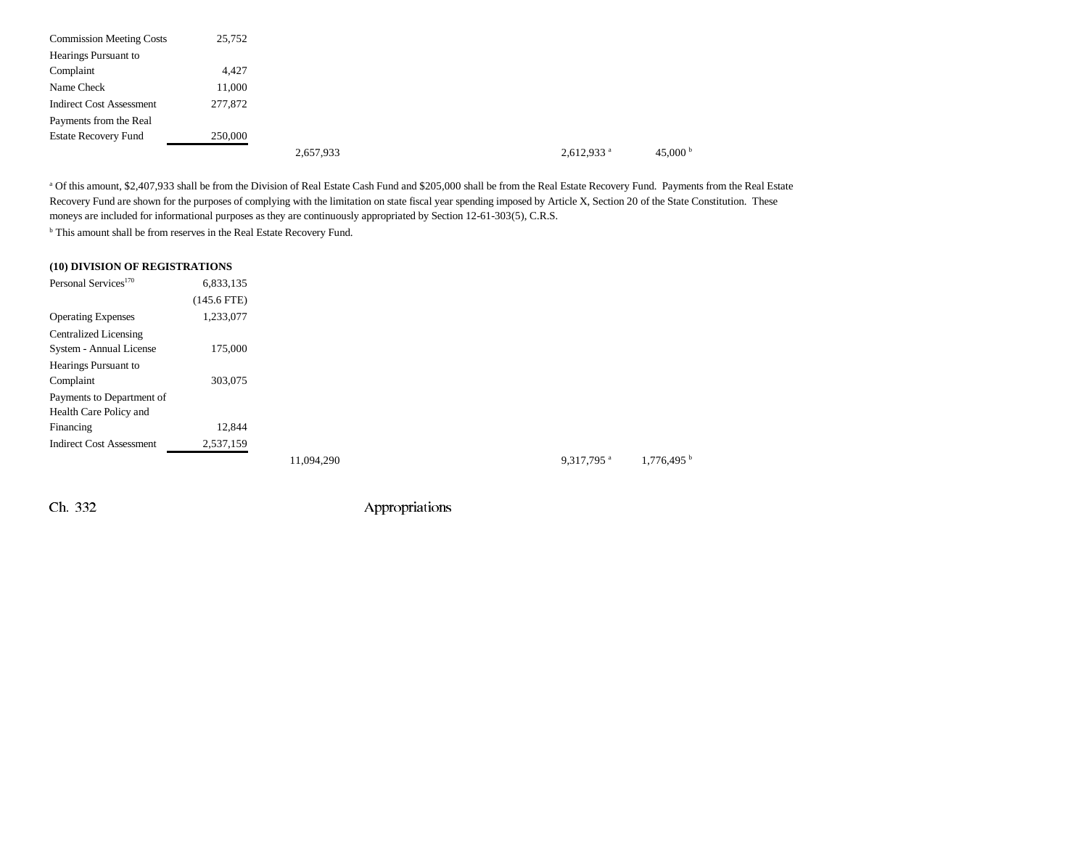| <b>Commission Meeting Costs</b> | 25,752  |           |  |                          |                   |
|---------------------------------|---------|-----------|--|--------------------------|-------------------|
| Hearings Pursuant to            |         |           |  |                          |                   |
| Complaint                       | 4,427   |           |  |                          |                   |
| Name Check                      | 11,000  |           |  |                          |                   |
| <b>Indirect Cost Assessment</b> | 277,872 |           |  |                          |                   |
| Payments from the Real          |         |           |  |                          |                   |
| <b>Estate Recovery Fund</b>     | 250,000 |           |  |                          |                   |
|                                 |         | 2,657,933 |  | $2,612,933$ <sup>a</sup> | 45,000 $^{\rm b}$ |

<sup>a</sup> Of this amount, \$2,407,933 shall be from the Division of Real Estate Cash Fund and \$205,000 shall be from the Real Estate Recovery Fund. Payments from the Real Estate Recovery Fund are shown for the purposes of complying with the limitation on state fiscal year spending imposed by Article X, Section 20 of the State Constitution. These moneys are included for informational purposes as they are continuously appropriated by Section 12-61-303(5), C.R.S.

<sup>b</sup> This amount shall be from reserves in the Real Estate Recovery Fund.

|  |  | (10) DIVISION OF REGISTRATIONS |  |
|--|--|--------------------------------|--|
|--|--|--------------------------------|--|

| Personal Services <sup>170</sup> | 6,833,135     |            |                        |                          |
|----------------------------------|---------------|------------|------------------------|--------------------------|
|                                  | $(145.6$ FTE) |            |                        |                          |
| <b>Operating Expenses</b>        | 1,233,077     |            |                        |                          |
| Centralized Licensing            |               |            |                        |                          |
| System - Annual License          | 175,000       |            |                        |                          |
| Hearings Pursuant to             |               |            |                        |                          |
| Complaint                        | 303,075       |            |                        |                          |
| Payments to Department of        |               |            |                        |                          |
| Health Care Policy and           |               |            |                        |                          |
| Financing                        | 12,844        |            |                        |                          |
| <b>Indirect Cost Assessment</b>  | 2,537,159     |            |                        |                          |
|                                  |               | 11.094.290 | 9.317.795 <sup>a</sup> | $1,776,495$ <sup>b</sup> |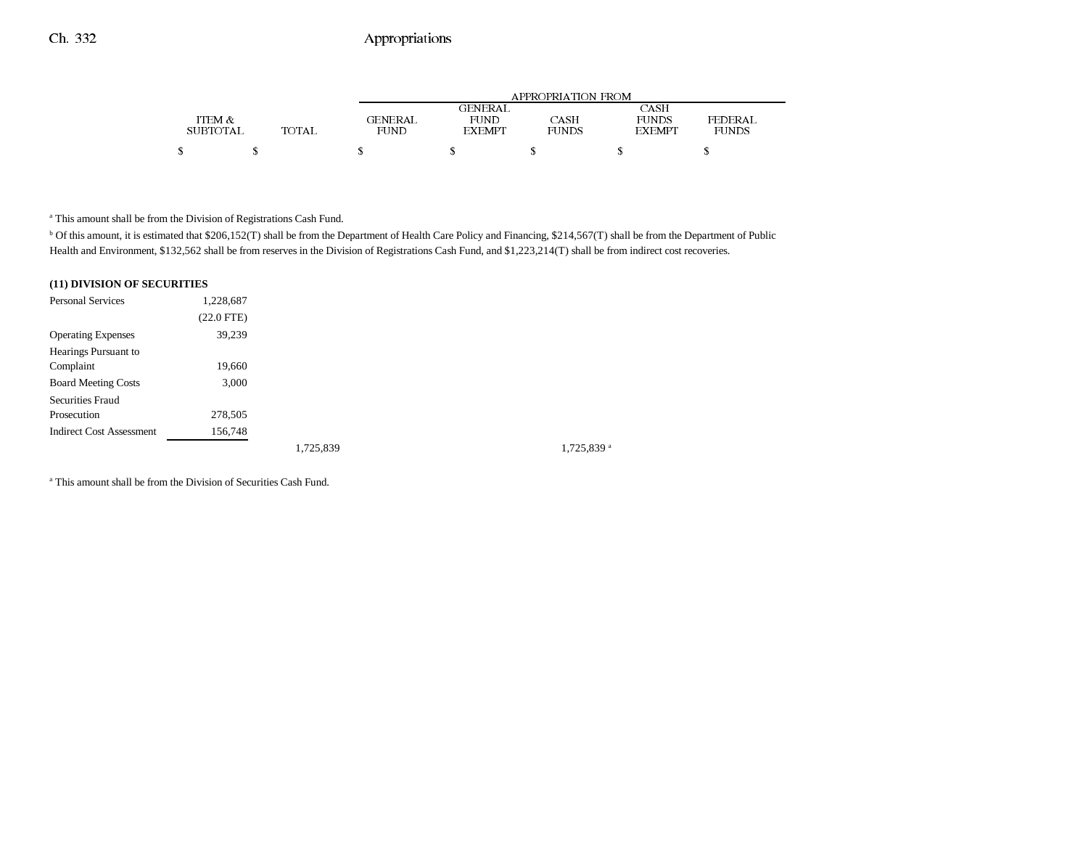|          |       | APPROPRIATION FROM |                |       |               |              |  |
|----------|-------|--------------------|----------------|-------|---------------|--------------|--|
|          |       |                    | <b>GENERAL</b> |       | CASH          |              |  |
| ITEM &   |       | GENERAL            | FUND           | CASH  | <b>FUNDS</b>  | FEDERAL      |  |
| SUBTOTAL | TOTAL | FUND               | <b>EXEMPT</b>  | FUNDS | <b>EXEMPT</b> | <b>FUNDS</b> |  |
|          |       |                    |                |       |               |              |  |
| S        |       |                    |                |       |               |              |  |

a This amount shall be from the Division of Registrations Cash Fund.

<sup>b</sup> Of this amount, it is estimated that \$206,152(T) shall be from the Department of Health Care Policy and Financing, \$214,567(T) shall be from the Department of Public Health and Environment, \$132,562 shall be from reserves in the Division of Registrations Cash Fund, and \$1,223,214(T) shall be from indirect cost recoveries.

#### **(11) DIVISION OF SECURITIES**

| <b>Personal Services</b>        | 1,228,687    |           |  |
|---------------------------------|--------------|-----------|--|
|                                 | $(22.0$ FTE) |           |  |
| <b>Operating Expenses</b>       | 39,239       |           |  |
| Hearings Pursuant to            |              |           |  |
| Complaint                       | 19,660       |           |  |
| <b>Board Meeting Costs</b>      | 3,000        |           |  |
| Securities Fraud                |              |           |  |
| Prosecution                     | 278,505      |           |  |
| <b>Indirect Cost Assessment</b> | 156,748      |           |  |
|                                 |              | 1.725.839 |  |

1,725,839<sup>a</sup>

a This amount shall be from the Division of Securities Cash Fund.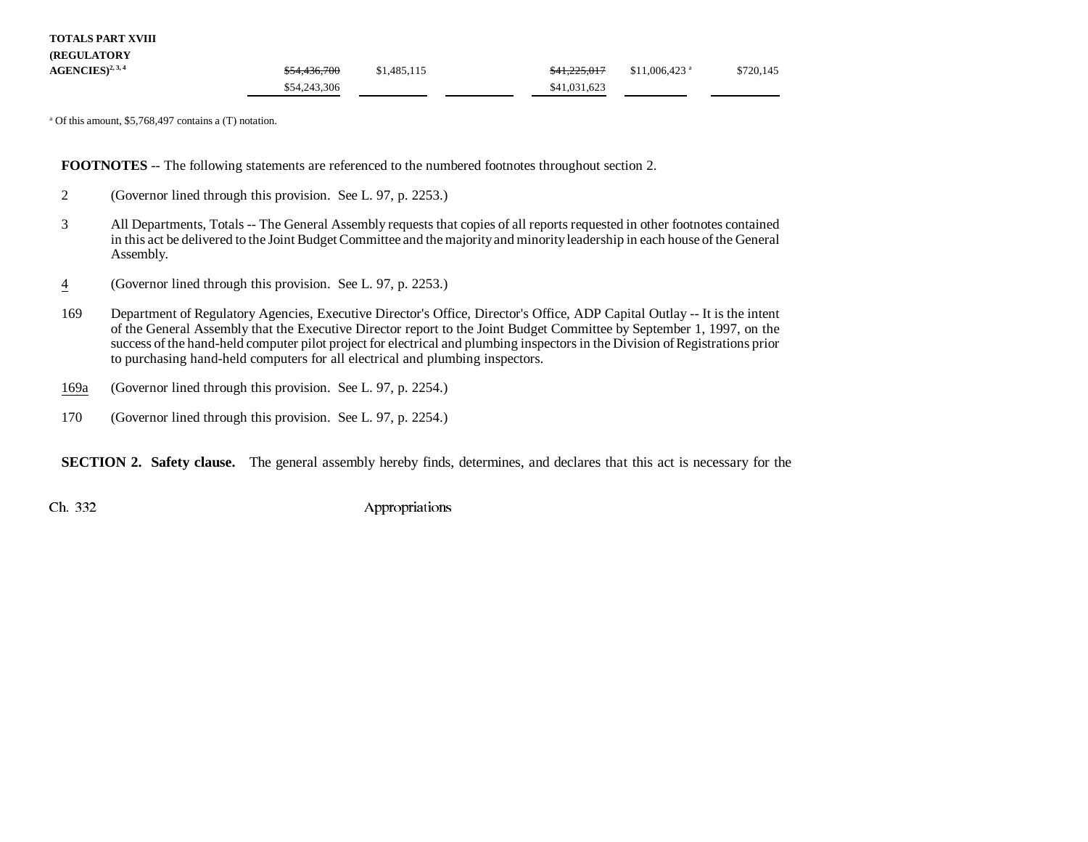| <b>TOTALS PART XVIII</b> |
|--------------------------|
|--------------------------|

| <b>(REGULATORY)</b> |                         |             |                         |                            |           |
|---------------------|-------------------------|-------------|-------------------------|----------------------------|-----------|
| $AGENCES)^{2,3,4}$  | <del>\$54,436,700</del> | \$1,485,115 | <del>\$41,225,017</del> | $$11,006,423$ <sup>a</sup> | \$720,145 |
|                     | \$54,243,306            |             | \$41,031,623            |                            |           |

a Of this amount, \$5,768,497 contains a (T) notation.

**FOOTNOTES** -- The following statements are referenced to the numbered footnotes throughout section 2.

- 2 (Governor lined through this provision. See L. 97, p. 2253.)
- 3 All Departments, Totals -- The General Assembly requests that copies of all reports requested in other footnotes contained in this act be delivered to the Joint Budget Committee and the majority and minority leadership in each house of the General Assembly.
- 4(Governor lined through this provision. See L. 97, p. 2253.)
- 169 Department of Regulatory Agencies, Executive Director's Office, Director's Office, ADP Capital Outlay -- It is the intent of the General Assembly that the Executive Director report to the Joint Budget Committee by September 1, 1997, on the success of the hand-held computer pilot project for electrical and plumbing inspectors in the Division of Registrations prior to purchasing hand-held computers for all electrical and plumbing inspectors.
- 169a(Governor lined through this provision. See L. 97, p. 2254.)
- 170 (Governor lined through this provision. See L. 97, p. 2254.)

**SECTION 2. Safety clause.** The general assembly hereby finds, determines, and declares that this act is necessary for the